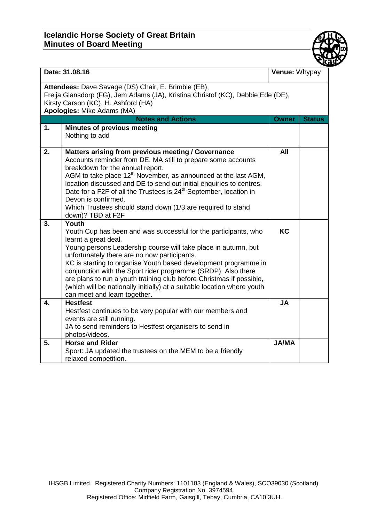## **Icelandic Horse Society of Great Britain Minutes of Board Meeting**



| Date: 31.08.16                                                                                                                                                                                              |                                                                                                                                                                                                                                                                                                                                                                                                                                                                                                                                           | Venue: Whypay |               |  |
|-------------------------------------------------------------------------------------------------------------------------------------------------------------------------------------------------------------|-------------------------------------------------------------------------------------------------------------------------------------------------------------------------------------------------------------------------------------------------------------------------------------------------------------------------------------------------------------------------------------------------------------------------------------------------------------------------------------------------------------------------------------------|---------------|---------------|--|
| Attendees: Dave Savage (DS) Chair, E. Brimble (EB),<br>Freija Glansdorp (FG), Jem Adams (JA), Kristina Christof (KC), Debbie Ede (DE),<br>Kirsty Carson (KC), H. Ashford (HA)<br>Apologies: Mike Adams (MA) |                                                                                                                                                                                                                                                                                                                                                                                                                                                                                                                                           |               |               |  |
|                                                                                                                                                                                                             | <b>Notes and Actions</b>                                                                                                                                                                                                                                                                                                                                                                                                                                                                                                                  | <b>Owner</b>  | <b>Status</b> |  |
| 1.                                                                                                                                                                                                          | <b>Minutes of previous meeting</b><br>Nothing to add                                                                                                                                                                                                                                                                                                                                                                                                                                                                                      |               |               |  |
| 2.                                                                                                                                                                                                          | Matters arising from previous meeting / Governance<br>Accounts reminder from DE. MA still to prepare some accounts<br>breakdown for the annual report.<br>AGM to take place 12 <sup>th</sup> November, as announced at the last AGM,<br>location discussed and DE to send out initial enquiries to centres.<br>Date for a F2F of all the Trustees is 24 <sup>th</sup> September, location in<br>Devon is confirmed.<br>Which Trustees should stand down (1/3 are required to stand<br>down)? TBD at F2F                                   | All           |               |  |
| 3.                                                                                                                                                                                                          | Youth<br>Youth Cup has been and was successful for the participants, who<br>learnt a great deal.<br>Young persons Leadership course will take place in autumn, but<br>unfortunately there are no now participants.<br>KC is starting to organise Youth based development programme in<br>conjunction with the Sport rider programme (SRDP). Also there<br>are plans to run a youth training club before Christmas if possible,<br>(which will be nationally initially) at a suitable location where youth<br>can meet and learn together. | KC            |               |  |
| 4.                                                                                                                                                                                                          | <b>Hestfest</b><br>Hestfest continues to be very popular with our members and<br>events are still running.<br>JA to send reminders to Hestfest organisers to send in<br>photos/videos.                                                                                                                                                                                                                                                                                                                                                    | <b>JA</b>     |               |  |
| 5.                                                                                                                                                                                                          | <b>Horse and Rider</b><br>Sport: JA updated the trustees on the MEM to be a friendly<br>relaxed competition.                                                                                                                                                                                                                                                                                                                                                                                                                              | <b>JA/MA</b>  |               |  |